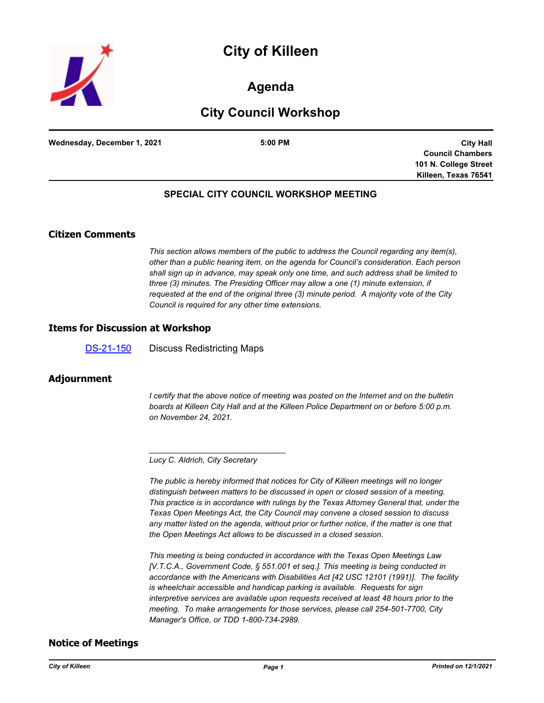



# **Agenda**

# **City Council Workshop**

**Wednesday, December 1, 2021 5:00 PM**

**City Hall Council Chambers 101 N. College Street Killeen, Texas 76541**

## **SPECIAL CITY COUNCIL WORKSHOP MEETING**

## **Citizen Comments**

*This section allows members of the public to address the Council regarding any item(s), other than a public hearing item, on the agenda for Council's consideration. Each person shall sign up in advance, may speak only one time, and such address shall be limited to three (3) minutes. The Presiding Officer may allow a one (1) minute extension, if requested at the end of the original three (3) minute period. A majority vote of the City Council is required for any other time extensions.*

#### **Items for Discussion at Workshop**

[DS-21-150](http://killeen.legistar.com/gateway.aspx?m=l&id=/matter.aspx?key=5825) Discuss Redistricting Maps

### **Adjournment**

*I* certify that the above notice of meeting was posted on the Internet and on the bulletin *boards at Killeen City Hall and at the Killeen Police Department on or before 5:00 p.m. on November 24, 2021.*

*\_\_\_\_\_\_\_\_\_\_\_\_\_\_\_\_\_\_\_\_\_\_\_\_\_\_\_\_\_\_\_*

*The public is hereby informed that notices for City of Killeen meetings will no longer distinguish between matters to be discussed in open or closed session of a meeting. This practice is in accordance with rulings by the Texas Attorney General that, under the Texas Open Meetings Act, the City Council may convene a closed session to discuss any matter listed on the agenda, without prior or further notice, if the matter is one that the Open Meetings Act allows to be discussed in a closed session.*

*This meeting is being conducted in accordance with the Texas Open Meetings Law [V.T.C.A., Government Code, § 551.001 et seq.]. This meeting is being conducted in accordance with the Americans with Disabilities Act [42 USC 12101 (1991)]. The facility is wheelchair accessible and handicap parking is available. Requests for sign interpretive services are available upon requests received at least 48 hours prior to the meeting. To make arrangements for those services, please call 254-501-7700, City Manager's Office, or TDD 1-800-734-2989.*

### **Notice of Meetings**

*Lucy C. Aldrich, City Secretary*